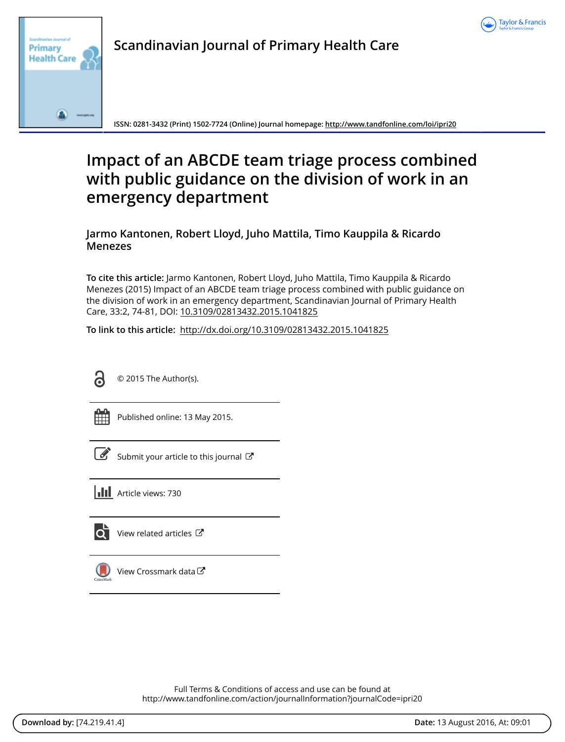



**Scandinavian Journal of Primary Health Care**

**ISSN: 0281-3432 (Print) 1502-7724 (Online) Journal homepage:<http://www.tandfonline.com/loi/ipri20>**

# **Impact of an ABCDE team triage process combined with public guidance on the division of work in an emergency department**

**Jarmo Kantonen, Robert Lloyd, Juho Mattila, Timo Kauppila & Ricardo Menezes**

**To cite this article:** Jarmo Kantonen, Robert Lloyd, Juho Mattila, Timo Kauppila & Ricardo Menezes (2015) Impact of an ABCDE team triage process combined with public guidance on the division of work in an emergency department, Scandinavian Journal of Primary Health Care, 33:2, 74-81, DOI: [10.3109/02813432.2015.1041825](http://www.tandfonline.com/action/showCitFormats?doi=10.3109/02813432.2015.1041825)

**To link to this article:** <http://dx.doi.org/10.3109/02813432.2015.1041825>



© 2015 The Author(s).

Published online: 13 May 2015.



 $\overrightarrow{S}$  [Submit your article to this journal](http://www.tandfonline.com/action/authorSubmission?journalCode=ipri20&show=instructions)  $\overrightarrow{S}$ 



 $\overrightarrow{Q}$  [View related articles](http://www.tandfonline.com/doi/mlt/10.3109/02813432.2015.1041825)  $\overrightarrow{C}$ 



[View Crossmark data](http://crossmark.crossref.org/dialog/?doi=10.3109/02813432.2015.1041825&domain=pdf&date_stamp=2015-05-13)<sup>C</sup>

Full Terms & Conditions of access and use can be found at <http://www.tandfonline.com/action/journalInformation?journalCode=ipri20>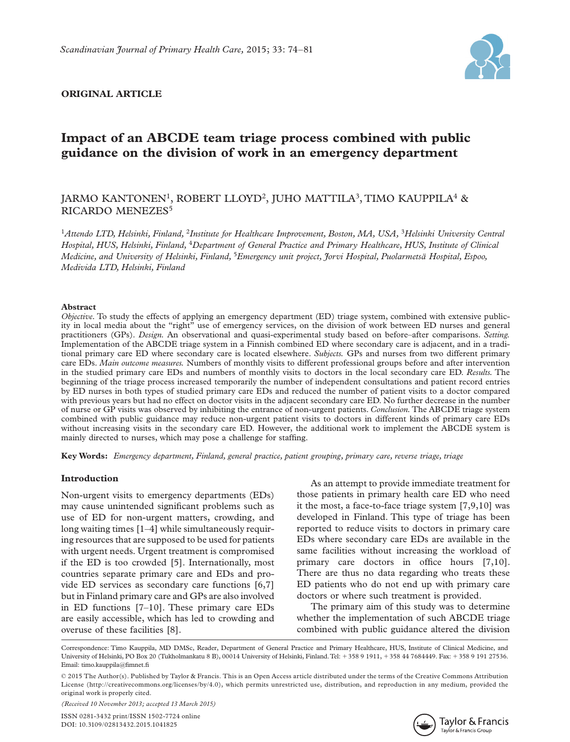

### **original article**

# **Impact of an ABCDE team triage process combined with public guidance on the division of work in an emergency department**

## JARMO KANTONEN<sup>1</sup>, ROBERT LLOYD<sup>2</sup>, JUHO MATTILA<sup>3</sup>, TIMO KAUPPILA<sup>4</sup> & RICARDO MENEZES<sup>5</sup>

<sup>1</sup>Attendo LTD, Helsinki, Finland, <sup>2</sup>Institute for Healthcare Improvement, Boston, MA, USA, <sup>3</sup>Helsinki University Central *Hospital, HUS, Helsinki, Finland,* 4*Department of General Practice and Primary Healthcare, HUS, Institute of Clinical Medicine, and University of Helsinki, Finland,* 5*Emergency unit project, Jorvi Hospital, Puolarmetsä Hospital, Espoo, Medivida LTD, Helsinki, Finland*

#### **Abstract**

*Objective.* To study the effects of applying an emergency department (ED) triage system, combined with extensive publicity in local media about the "right" use of emergency services, on the division of work between ED nurses and general practitioners (GPs). *Design.* An observational and quasi-experimental study based on before–after comparisons. *Setting.* Implementation of the ABCDE triage system in a Finnish combined ED where secondary care is adjacent, and in a traditional primary care ED where secondary care is located elsewhere. *Subjects.* GPs and nurses from two different primary care EDs. *Main outcome measures.* Numbers of monthly visits to different professional groups before and after intervention in the studied primary care EDs and numbers of monthly visits to doctors in the local secondary care ED. *Results.* The beginning of the triage process increased temporarily the number of independent consultations and patient record entries by ED nurses in both types of studied primary care EDs and reduced the number of patient visits to a doctor compared with previous years but had no effect on doctor visits in the adjacent secondary care ED. No further decrease in the number of nurse or GP visits was observed by inhibiting the entrance of non-urgent patients. *Conclusion.* The ABCDE triage system combined with public guidance may reduce non-urgent patient visits to doctors in different kinds of primary care EDs without increasing visits in the secondary care ED. However, the additional work to implement the ABCDE system is mainly directed to nurses, which may pose a challenge for staffing.

**Key Words:** *Emergency department, Finland, general practice, patient grouping, primary care, reverse triage, triage*

#### **Introduction**

Non-urgent visits to emergency departments (EDs) may cause unintended significant problems such as use of ED for non-urgent matters, crowding, and long waiting times [1–4] while simultaneously requiring resources that are supposed to be used for patients with urgent needs. Urgent treatment is compromised if the ED is too crowded [5]. Internationally, most countries separate primary care and EDs and provide ED services as secondary care functions [6,7] but in Finland primary care and GPs are also involved in ED functions [7–10]. These primary care EDs are easily accessible, which has led to crowding and overuse of these facilities [8].

As an attempt to provide immediate treatment for those patients in primary health care ED who need it the most, a face-to-face triage system [7,9,10] was developed in Finland. This type of triage has been reported to reduce visits to doctors in primary care EDs where secondary care EDs are available in the same facilities without increasing the workload of primary care doctors in office hours [7,10]. There are thus no data regarding who treats these ED patients who do not end up with primary care doctors or where such treatment is provided.

The primary aim of this study was to determine whether the implementation of such ABCDE triage combined with public guidance altered the division

*(Received 10 November 2013; accepted 13 March 2015)*

ISSN 0281-3432 print/ISSN 1502-7724 online DOI: 10.3109/02813432.2015.1041825



Correspondence: Timo Kauppila, MD DMSc, Reader, Department of General Practice and Primary Healthcare, HUS, Institute of Clinical Medicine, and University of Helsinki, PO Box 20 (Tukholmankatu 8 B), 00014 University of Helsinki, Finland. Tel: +358 9 1911, +358 44 7684449. Fax: +358 9 191 27536. Email: timo.kauppila@fimnet.fi

<sup>© 2015</sup> The Author(s). Published by Taylor & Francis. This is an Open Access article distributed under the terms of the Creative Commons Attribution License (http://creativecommons.org/licenses/by/4.0), which permits unrestricted use, distribution, and reproduction in any medium, provided the original work is properly cited.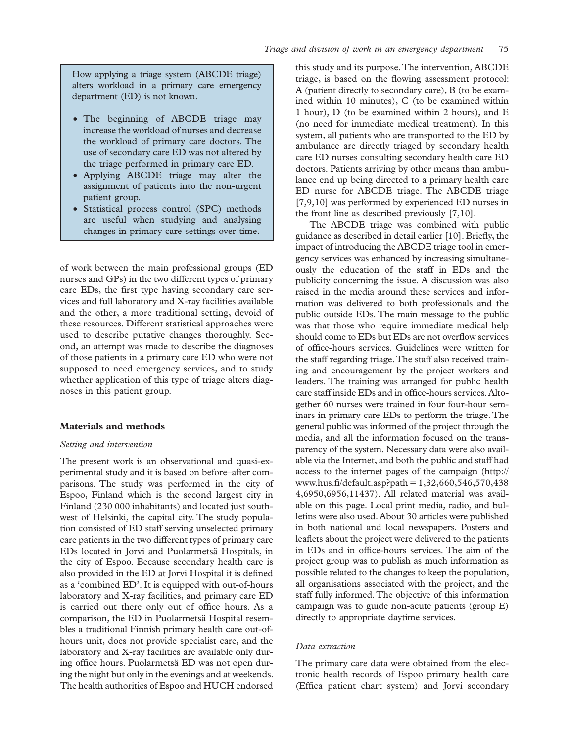How applying a triage system (ABCDE triage) alters workload in a primary care emergency department (ED) is not known.

- The beginning of ABCDE triage may increase the workload of nurses and decrease the workload of primary care doctors. The use of secondary care ED was not altered by the triage performed in primary care ED.
- Applying ABCDE triage may alter the assignment of patients into the non-urgent patient group.
- Statistical process control (SPC) methods are useful when studying and analysing changes in primary care settings over time.

of work between the main professional groups (ED nurses and GPs) in the two different types of primary care EDs, the first type having secondary care services and full laboratory and X-ray facilities available and the other, a more traditional setting, devoid of these resources. Different statistical approaches were used to describe putative changes thoroughly. Second, an attempt was made to describe the diagnoses of those patients in a primary care ED who were not supposed to need emergency services, and to study whether application of this type of triage alters diagnoses in this patient group.

#### **Materials and methods**

#### *Setting and intervention*

The present work is an observational and quasi-experimental study and it is based on before–after comparisons. The study was performed in the city of Espoo, Finland which is the second largest city in Finland (230 000 inhabitants) and located just southwest of Helsinki, the capital city. The study population consisted of ED staff serving unselected primary care patients in the two different types of primary care EDs located in Jorvi and Puolarmetsä Hospitals, in the city of Espoo. Because secondary health care is also provided in the ED at Jorvi Hospital it is defined as a 'combined ED'. It is equipped with out-of-hours laboratory and X-ray facilities, and primary care ED is carried out there only out of office hours. As a comparison, the ED in Puolarmetsä Hospital resembles a traditional Finnish primary health care out-ofhours unit, does not provide specialist care, and the laboratory and X-ray facilities are available only during office hours. Puolarmetsä ED was not open during the night but only in the evenings and at weekends. The health authorities of Espoo and HUCH endorsed

this study and its purpose. The intervention, ABCDE triage, is based on the flowing assessment protocol: A (patient directly to secondary care), B (to be examined within 10 minutes), C (to be examined within 1 hour), D (to be examined within 2 hours), and E (no need for immediate medical treatment). In this system, all patients who are transported to the ED by ambulance are directly triaged by secondary health care ED nurses consulting secondary health care ED doctors. Patients arriving by other means than ambulance end up being directed to a primary health care ED nurse for ABCDE triage. The ABCDE triage [7,9,10] was performed by experienced ED nurses in the front line as described previously [7,10].

The ABCDE triage was combined with public guidance as described in detail earlier [10]. Briefly, the impact of introducing the ABCDE triage tool in emergency services was enhanced by increasing simultaneously the education of the staff in EDs and the publicity concerning the issue. A discussion was also raised in the media around these services and information was delivered to both professionals and the public outside EDs. The main message to the public was that those who require immediate medical help should come to EDs but EDs are not overflow services of office-hours services. Guidelines were written for the staff regarding triage. The staff also received training and encouragement by the project workers and leaders. The training was arranged for public health care staff inside EDs and in office-hours services. Altogether 60 nurses were trained in four four-hour seminars in primary care EDs to perform the triage. The general public was informed of the project through the media, and all the information focused on the transparency of the system. Necessary data were also available via the Internet, and both the public and staff had access to the internet pages of the campaign (http:// www.hus.fi/default.asp?path =  $1,32,660,546,570,438$ 4,6950,6956,11437). All related material was available on this page. Local print media, radio, and bulletins were also used. About 30 articles were published in both national and local newspapers. Posters and leaflets about the project were delivered to the patients in EDs and in office-hours services. The aim of the project group was to publish as much information as possible related to the changes to keep the population, all organisations associated with the project, and the staff fully informed. The objective of this information campaign was to guide non-acute patients (group E) directly to appropriate daytime services.

#### *Data extraction*

The primary care data were obtained from the electronic health records of Espoo primary health care (Effica patient chart system) and Jorvi secondary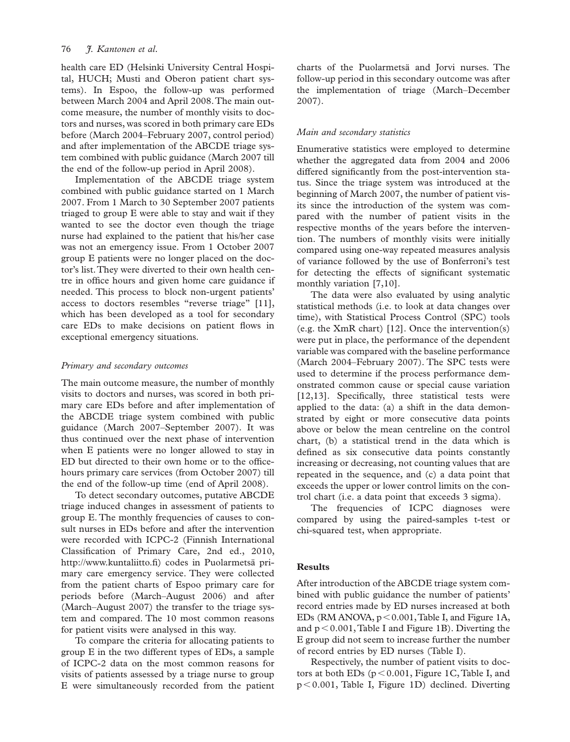health care ED (Helsinki University Central Hospital, HUCH; Musti and Oberon patient chart systems). In Espoo, the follow-up was performed between March 2004 and April 2008. The main outcome measure, the number of monthly visits to doctors and nurses, was scored in both primary care EDs before (March 2004–February 2007, control period) and after implementation of the ABCDE triage system combined with public guidance (March 2007 till the end of the follow-up period in April 2008).

Implementation of the ABCDE triage system combined with public guidance started on 1 March 2007. From 1 March to 30 September 2007 patients triaged to group E were able to stay and wait if they wanted to see the doctor even though the triage nurse had explained to the patient that his/her case was not an emergency issue. From 1 October 2007 group E patients were no longer placed on the doctor's list. They were diverted to their own health centre in office hours and given home care guidance if needed. This process to block non-urgent patients' access to doctors resembles "reverse triage" [11], which has been developed as a tool for secondary care EDs to make decisions on patient flows in exceptional emergency situations.

#### *Primary and secondary outcomes*

The main outcome measure, the number of monthly visits to doctors and nurses, was scored in both primary care EDs before and after implementation of the ABCDE triage system combined with public guidance (March 2007–September 2007). It was thus continued over the next phase of intervention when E patients were no longer allowed to stay in ED but directed to their own home or to the officehours primary care services (from October 2007) till the end of the follow-up time (end of April 2008).

To detect secondary outcomes, putative ABCDE triage induced changes in assessment of patients to group E. The monthly frequencies of causes to consult nurses in EDs before and after the intervention were recorded with ICPC-2 (Finnish International Classification of Primary Care, 2nd ed., 2010, http://www.kuntaliitto.fi) codes in Puolarmetsä primary care emergency service. They were collected from the patient charts of Espoo primary care for periods before (March–August 2006) and after (March–August 2007) the transfer to the triage system and compared. The 10 most common reasons for patient visits were analysed in this way.

To compare the criteria for allocating patients to group E in the two different types of EDs, a sample of ICPC-2 data on the most common reasons for visits of patients assessed by a triage nurse to group E were simultaneously recorded from the patient charts of the Puolarmetsä and Jorvi nurses. The follow-up period in this secondary outcome was after the implementation of triage (March–December 2007).

#### *Main and secondary statistics*

Enumerative statistics were employed to determine whether the aggregated data from 2004 and 2006 differed significantly from the post-intervention status. Since the triage system was introduced at the beginning of March 2007, the number of patient visits since the introduction of the system was compared with the number of patient visits in the respective months of the years before the intervention. The numbers of monthly visits were initially compared using one-way repeated measures analysis of variance followed by the use of Bonferroni's test for detecting the effects of significant systematic monthly variation [7,10].

The data were also evaluated by using analytic statistical methods (i.e. to look at data changes over time), with Statistical Process Control (SPC) tools (e.g. the XmR chart) [12]. Once the intervention(s) were put in place, the performance of the dependent variable was compared with the baseline performance (March 2004–February 2007). The SPC tests were used to determine if the process performance demonstrated common cause or special cause variation [12,13]. Specifically, three statistical tests were applied to the data: (a) a shift in the data demonstrated by eight or more consecutive data points above or below the mean centreline on the control chart, (b) a statistical trend in the data which is defined as six consecutive data points constantly increasing or decreasing, not counting values that are repeated in the sequence, and (c) a data point that exceeds the upper or lower control limits on the control chart (i.e. a data point that exceeds 3 sigma).

The frequencies of ICPC diagnoses were compared by using the paired-samples t-test or chi-squared test, when appropriate.

#### **Results**

After introduction of the ABCDE triage system combined with public guidance the number of patients' record entries made by ED nurses increased at both EDs (RM ANOVA,  $p < 0.001$ , Table I, and Figure 1A, and  $p < 0.001$ , Table I and Figure 1B). Diverting the E group did not seem to increase further the number of record entries by ED nurses (Table I).

Respectively, the number of patient visits to doctors at both EDs ( $p<0.001$ , Figure 1C, Table I, and  $p<0.001$ , Table I, Figure 1D) declined. Diverting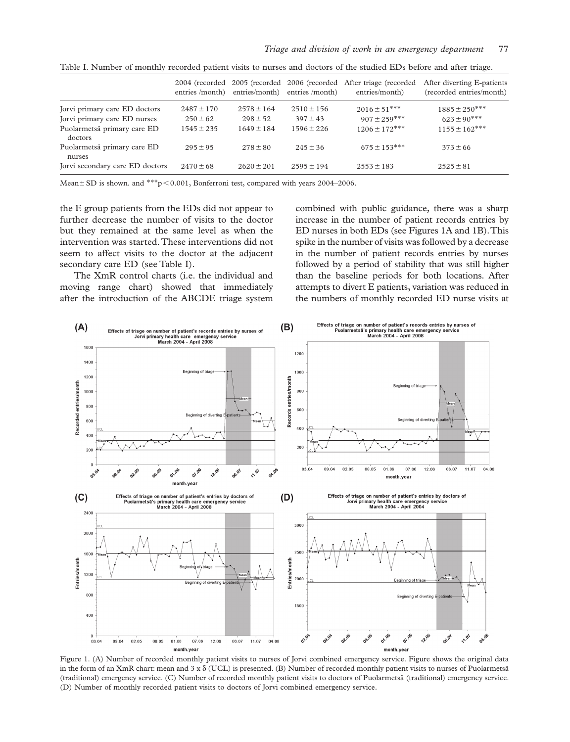|                                        | entries /month) |                | entries/month) entries/month) | 2004 (recorded 2005 (recorded 2006 (recorded After triage (recorded<br>entries/month) | After diverting E-patients<br>(recorded entries/month) |
|----------------------------------------|-----------------|----------------|-------------------------------|---------------------------------------------------------------------------------------|--------------------------------------------------------|
| Jorvi primary care ED doctors          | $2487 \pm 170$  | $2578 \pm 164$ | $2510 \pm 156$                | $2016 \pm 51***$                                                                      | $1885 \pm 250***$                                      |
| Jorvi primary care ED nurses           | $250 \pm 62$    | $298 \pm 52$   | $397 \pm 43$                  | $907 \pm 259***$                                                                      | $623 \pm 90^{***}$                                     |
| Puolarmetsä primary care ED<br>doctors | $1545 + 235$    | $1649 \pm 184$ | $1596 \pm 226$                | $1206 \pm 172$ ***                                                                    | $1155 \pm 162***$                                      |
| Puolarmetsä primary care ED<br>nurses  | $295 + 95$      | $278 \pm 80$   | $245 + 36$                    | $675 + 153$ ***                                                                       | $373 + 66$                                             |
| Jorvi secondary care ED doctors        | $2470 \pm 68$   | $2620 \pm 201$ | $2595 \pm 194$                | $2553 \pm 183$                                                                        | $2525 \pm 81$                                          |

Table I. Number of monthly recorded patient visits to nurses and doctors of the studied EDs before and after triage.

Mean $\pm$  SD is shown. and \*\*\*p $<$  0.001, Bonferroni test, compared with years 2004–2006.

the E group patients from the EDs did not appear to further decrease the number of visits to the doctor but they remained at the same level as when the intervention was started. These interventions did not seem to affect visits to the doctor at the adjacent secondary care ED (see Table I).

The XmR control charts (i.e. the individual and moving range chart) showed that immediately after the introduction of the ABCDE triage system

combined with public guidance, there was a sharp increase in the number of patient records entries by ED nurses in both EDs (see Figures 1A and 1B). This spike in the number of visits was followed by a decrease in the number of patient records entries by nurses followed by a period of stability that was still higher than the baseline periods for both locations. After attempts to divert E patients, variation was reduced in the numbers of monthly recorded ED nurse visits at



Figure 1. (A) Number of recorded monthly patient visits to nurses of Jorvi combined emergency service. Figure shows the original data in the form of an XmR chart: mean and  $3 \times \delta$  (UCL) is presented. (B) Number of recorded monthly patient visits to nurses of Puolarmetsä (traditional) emergency service. (C) Number of recorded monthly patient visits to doctors of Puolarmetsä (traditional) emergency service. (D) Number of monthly recorded patient visits to doctors of Jorvi combined emergency service.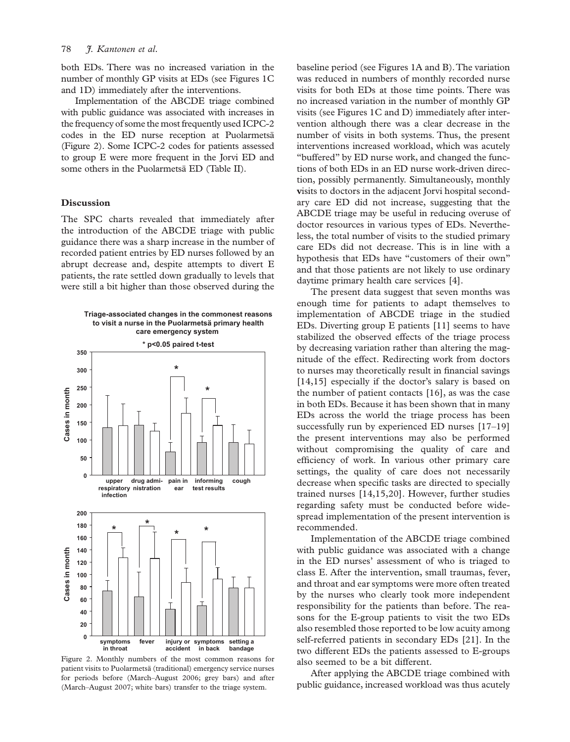#### 78 *J. Kantonen et al.*

both EDs. There was no increased variation in the number of monthly GP visits at EDs (see Figures 1C and 1D) immediately after the interventions.

Implementation of the ABCDE triage combined with public guidance was associated with increases in the frequency of some the most frequently used ICPC-2 codes in the ED nurse reception at Puolarmetsä (Figure 2). Some ICPC-2 codes for patients assessed to group E were more frequent in the Jorvi ED and some others in the Puolarmetsä ED (Table II).

#### **Discussion**

The SPC charts revealed that immediately after the introduction of the ABCDE triage with public guidance there was a sharp increase in the number of recorded patient entries by ED nurses followed by an abrupt decrease and, despite attempts to divert E patients, the rate settled down gradually to levels that were still a bit higher than those observed during the



Figure 2. Monthly numbers of the most common reasons for patient visits to Puolarmetsä (traditional) emergency service nurses for periods before (March–August 2006; grey bars) and after (March–August 2007; white bars) transfer to the triage system.

baseline period (see Figures 1A and B). The variation was reduced in numbers of monthly recorded nurse visits for both EDs at those time points. There was no increased variation in the number of monthly GP visits (see Figures 1C and D) immediately after intervention although there was a clear decrease in the number of visits in both systems. Thus, the present interventions increased workload, which was acutely "buffered" by ED nurse work, and changed the functions of both EDs in an ED nurse work-driven direction, possibly permanently. Simultaneously, monthly **v**isits to doctors in the adjacent Jorvi hospital secondary care ED did not increase, suggesting that the ABCDE triage may be useful in reducing overuse of doctor resources in various types of EDs. Nevertheless, the total number of visits to the studied primary care EDs did not decrease. This is in line with a hypothesis that EDs have "customers of their own" and that those patients are not likely to use ordinary daytime primary health care services [4].

The present data suggest that seven months was enough time for patients to adapt themselves to implementation of ABCDE triage in the studied EDs. Diverting group E patients [11] seems to have stabilized the observed effects of the triage process by decreasing variation rather than altering the magnitude of the effect. Redirecting work from doctors to nurses may theoretically result in financial savings [14,15] especially if the doctor's salary is based on the number of patient contacts [16], as was the case in both EDs. Because it has been shown that in many EDs across the world the triage process has been successfully run by experienced ED nurses [17–19] the present interventions may also be performed without compromising the quality of care and efficiency of work. In various other primary care settings, the quality of care does not necessarily decrease when specific tasks are directed to specially trained nurses [14,15,20]. However, further studies regarding safety must be conducted before widespread implementation of the present intervention is recommended.

Implementation of the ABCDE triage combined with public guidance was associated with a change in the ED nurses' assessment of who is triaged to class E. After the intervention, small traumas, fever, and throat and ear symptoms were more often treated by the nurses who clearly took more independent responsibility for the patients than before. The reasons for the E-group patients to visit the two EDs also resembled those reported to be low acuity among self-referred patients in secondary EDs [21]. In the two different EDs the patients assessed to E-groups also seemed to be a bit different.

After applying the ABCDE triage combined with public guidance, increased workload was thus acutely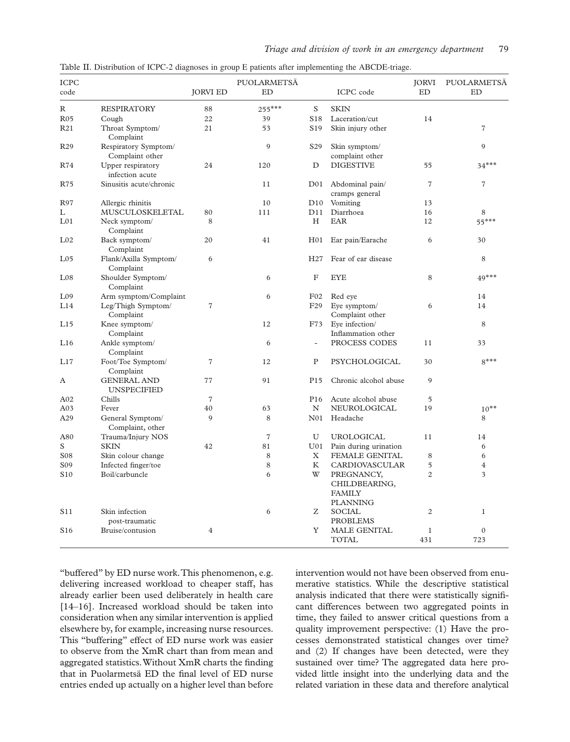| <b>ICPC</b><br>code |                                          | <b>JORVI ED</b> | PUOLARMETSÄ<br>ED |                 | ICPC code                                                       | <b>JORVI</b><br>ED | PUOLARMETSÄ<br>ED |
|---------------------|------------------------------------------|-----------------|-------------------|-----------------|-----------------------------------------------------------------|--------------------|-------------------|
| $\mathbb R$         | <b>RESPIRATORY</b>                       | 88              | 255***            | S               | <b>SKIN</b>                                                     |                    |                   |
| <b>R05</b>          | Cough                                    | 22              | 39                | S <sub>18</sub> | Laceration/cut                                                  | 14                 |                   |
| R21                 | Throat Symptom/<br>Complaint             | 21              | 53                | S <sub>19</sub> | Skin injury other                                               |                    | $\overline{7}$    |
| R <sub>29</sub>     | Respiratory Symptom/<br>Complaint other  |                 | $\mathbf Q$       | S <sub>29</sub> | Skin symptom/<br>complaint other                                |                    | $\mathbf Q$       |
| R74                 | Upper respiratory<br>infection acute     | 24              | 120               | D               | <b>DIGESTIVE</b>                                                | 55                 | $34***$           |
| R75                 | Sinusitis acute/chronic                  |                 | 11                | D <sub>01</sub> | Abdominal pain/<br>cramps general                               | $\overline{7}$     | $\overline{7}$    |
| R97                 | Allergic rhinitis                        |                 | 10                | D10             | Vomiting                                                        | 13                 |                   |
| L                   | MUSCULOSKELETAL                          | 80              | 111               | D11             | Diarrhoea                                                       | 16                 | 8                 |
| L <sub>01</sub>     | Neck symptom/<br>Complaint               | 8               |                   | H               | EAR                                                             | 12                 | $55***$           |
| L <sub>02</sub>     | Back symptom/<br>Complaint               | 20              | 41                | H <sub>01</sub> | Ear pain/Earache                                                | 6                  | 30                |
| L05                 | Flank/Axilla Symptom/<br>Complaint       | 6               |                   | H27             | Fear of ear disease                                             |                    | 8                 |
| L <sub>08</sub>     | Shoulder Symptom/<br>Complaint           |                 | 6                 | $\mathbf F$     | <b>EYE</b>                                                      | 8                  | $49***$           |
| L <sub>09</sub>     | Arm symptom/Complaint                    |                 | 6                 | F02             | Red eye                                                         |                    | 14                |
| L14                 | Leg/Thigh Symptom/<br>Complaint          | $\overline{7}$  |                   | F <sub>29</sub> | Eye symptom/<br>Complaint other                                 | 6                  | 14                |
| L15                 | Knee symptom/<br>Complaint               |                 | 12                | F73             | Eye infection/<br>Inflammation other                            |                    | 8                 |
| L16                 | Ankle symptom/<br>Complaint              |                 | 6                 | $\bar{a}$       | PROCESS CODES                                                   | 11                 | 33                |
| L17                 | Foot/Toe Symptom/<br>Complaint           | $\overline{7}$  | 12                | $\mathbf P$     | PSYCHOLOGICAL                                                   | 30                 | $8***$            |
| A                   | <b>GENERAL AND</b><br><b>UNSPECIFIED</b> | 77              | 91                | P <sub>15</sub> | Chronic alcohol abuse                                           | $\mathbf Q$        |                   |
| A02                 | Chills                                   | $\overline{7}$  |                   | P <sub>16</sub> | Acute alcohol abuse                                             | 5                  |                   |
| A03                 | Fever                                    | 40              | 63                | N               | NEUROLOGICAL                                                    | 19                 | $10^{**}$         |
| A29                 | General Symptom/<br>Complaint, other     | 9               | 8                 | N <sub>01</sub> | Headache                                                        |                    | 8                 |
| A80                 | Trauma/Injury NOS                        |                 | $\overline{7}$    | U               | UROLOGICAL                                                      | 11                 | 14                |
| S                   | <b>SKIN</b>                              | 42              | 81                | U <sub>01</sub> | Pain during urination                                           |                    | 6                 |
| S08                 | Skin colour change                       |                 | 8                 | X               | <b>FEMALE GENITAL</b>                                           | 8                  | 6                 |
| S09                 | Infected finger/toe                      |                 | 8                 | K               | CARDIOVASCULAR                                                  | 5                  | $\overline{4}$    |
| S10                 | Boil/carbuncle                           |                 | 6                 | W               | PREGNANCY,<br>CHILDBEARING,<br><b>FAMILY</b><br><b>PLANNING</b> | $\overline{2}$     | 3                 |
| S11                 | Skin infection<br>post-traumatic         |                 | 6                 | Ζ               | <b>SOCIAL</b><br><b>PROBLEMS</b>                                | $\overline{2}$     | $\mathbf{1}$      |
| S <sub>16</sub>     | Bruise/contusion                         | $\overline{4}$  |                   | Y               | <b>MALE GENITAL</b>                                             | $\mathbf{1}$       | $\mathbf{0}$      |
|                     |                                          |                 |                   |                 | <b>TOTAL</b>                                                    | 431                | 723               |

Table II. Distribution of ICPC-2 diagnoses in group E patients after implementing the ABCDE-triage.

"buffered" by ED nurse work. This phenomenon, e.g. delivering increased workload to cheaper staff, has already earlier been used deliberately in health care [14–16]. Increased workload should be taken into consideration when any similar intervention is applied elsewhere by, for example, increasing nurse resources. This "buffering" effect of ED nurse work was easier to observe from the XmR chart than from mean and aggregated statistics. Without XmR charts the finding that in Puolarmetsä ED the final level of ED nurse entries ended up actually on a higher level than before

intervention would not have been observed from enumerative statistics. While the descriptive statistical analysis indicated that there were statistically significant differences between two aggregated points in time, they failed to answer critical questions from a quality improvement perspective: (1) Have the processes demonstrated statistical changes over time? and (2) If changes have been detected, were they sustained over time? The aggregated data here provided little insight into the underlying data and the related variation in these data and therefore analytical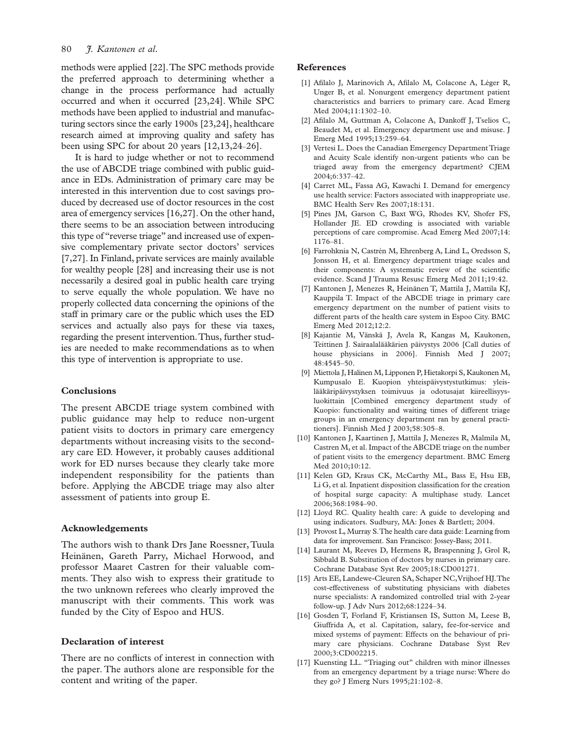methods were applied [22]. The SPC methods provide the preferred approach to determining whether a change in the process performance had actually occurred and when it occurred [23,24]. While SPC methods have been applied to industrial and manufacturing sectors since the early 1900s [23,24], healthcare research aimed at improving quality and safety has been using SPC for about 20 years [12,13,24–26].

It is hard to judge whether or not to recommend the use of ABCDE triage combined with public guidance in EDs. Administration of primary care may be interested in this intervention due to cost savings produced by decreased use of doctor resources in the cost area of emergency services [16,27]. On the other hand, there seems to be an association between introducing this type of "reverse triage" and increased use of expensive complementary private sector doctors' services [7,27]. In Finland, private services are mainly available for wealthy people [28] and increasing their use is not necessarily a desired goal in public health care trying to serve equally the whole population. We have no properly collected data concerning the opinions of the staff in primary care or the public which uses the ED services and actually also pays for these via taxes, regarding the present intervention. Thus, further studies are needed to make recommendations as to when this type of intervention is appropriate to use.

#### **Conclusions**

The present ABCDE triage system combined with public guidance may help to reduce non-urgent patient visits to doctors in primary care emergency departments without increasing visits to the secondary care ED. However, it probably causes additional work for ED nurses because they clearly take more independent responsibility for the patients than before. Applying the ABCDE triage may also alter assessment of patients into group E.

#### **Acknowledgements**

The authors wish to thank Drs Jane Roessner, Tuula Heinänen, Gareth Parry, Michael Horwood, and professor Maaret Castren for their valuable comments. They also wish to express their gratitude to the two unknown referees who clearly improved the manuscript with their comments. This work was funded by the City of Espoo and HUS.

#### **Declaration of interest**

There are no conflicts of interest in connection with the paper. The authors alone are responsible for the content and writing of the paper.

#### **References**

- [1] Afilalo J, Marinovich A, Afilalo M, Colacone A, Léger R, Unger B, et al. Nonurgent emergency department patient characteristics and barriers to primary care. Acad Emerg Med 2004;11:1302–10.
- [2] Afilalo M, Guttman A, Colacone A, Dankoff J, Tselios C, Beaudet M, et al. Emergency department use and misuse. J Emerg Med 1995;13:259–64.
- [3] Vertesi L. Does the Canadian Emergency Department Triage and Acuity Scale identify non-urgent patients who can be triaged away from the emergency department? CJEM 2004;6:337–42.
- [4] Carret ML, Fassa AG, Kawachi I. Demand for emergency use health service: Factors associated with inappropriate use. BMC Health Serv Res 2007;18:131.
- [5] Pines JM, Garson C, Baxt WG, Rhodes KV, Shofer FS, Hollander JE. ED crowding is associated with variable perceptions of care compromise. Acad Emerg Med 2007;14: 1176–81.
- [6] Farrohknia N, Castrén M, Ehrenberg A, Lind L, Oredsson S, Jonsson H, et al. Emergency department triage scales and their components: A systematic review of the scientific evidence. Scand J Trauma Resusc Emerg Med 2011;19:42.
- [7] Kantonen J, Menezes R, Heinänen T, Mattila J, Mattila KJ, Kauppila T. Impact of the ABCDE triage in primary care emergency department on the number of patient visits to different parts of the health care system in Espoo City. BMC Emerg Med 2012;12:2.
- [8] Kajantie M, Vänskä J, Avela R, Kangas M, Kaukonen, Teittinen J. Sairaalalääkärien päivystys 2006 [Call duties of house physicians in 2006]. Finnish Med J 2007; 48:4545–50.
- [9] Miettola J, Halinen M, Lipponen P, Hietakorpi S, Kaukonen M, Kumpusalo E. Kuopion yhteispäivystystutkimus: yleislääkäripäivystyksen toimivuus ja odotusajat kiireellisyysluokittain [Combined emergency department study of Kuopio: functionality and waiting times of different triage groups in an emergency department ran by general practitioners]. Finnish Med J 2003;58:305–8.
- [10] Kantonen J, Kaartinen J, Mattila J, Menezes R, Malmila M, Castren M, et al. Impact of the ABCDE triage on the number of patient visits to the emergency department. BMC Emerg Med 2010;10:12.
- [11] Kelen GD, Kraus CK, McCarthy ML, Bass E, Hsu EB, Li G, et al. Inpatient disposition classification for the creation of hospital surge capacity: A multiphase study. Lancet 2006;368:1984–90.
- [12] Lloyd RC. Quality health care: A guide to developing and using indicators. Sudbury, MA: Jones & Bartlett; 2004.
- [13] Provost L, Murray S. The health care data guide: Learning from data for improvement. San Francisco: Jossey-Bass; 2011.
- [14] Laurant M, Reeves D, Hermens R, Braspenning J, Grol R, Sibbald B. Substitution of doctors by nurses in primary care. Cochrane Database Syst Rev 2005;18:CD001271.
- [15] Arts EE, Landewe-Cleuren SA, Schaper NC, Vrijhoef HJ. The cost-effectiveness of substituting physicians with diabetes nurse specialists: A randomized controlled trial with 2-year follow-up. J Adv Nurs 2012;68:1224–34.
- [16] Gosden T, Forland F, Kristiansen IS, Sutton M, Leese B, Giuffrida A, et al. Capitation, salary, fee-for-service and mixed systems of payment: Effects on the behaviour of primary care physicians. Cochrane Database Syst Rev 2000;3:CD002215.
- [17] Kuensting LL. "Triaging out" children with minor illnesses from an emergency department by a triage nurse: Where do they go? J Emerg Nurs 1995;21:102–8.